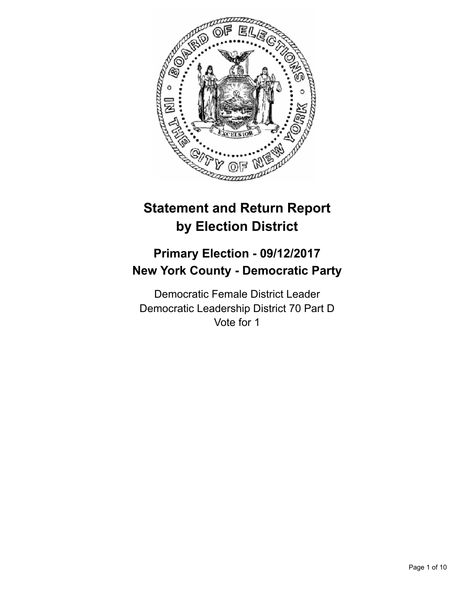

# **Statement and Return Report by Election District**

## **Primary Election - 09/12/2017 New York County - Democratic Party**

Democratic Female District Leader Democratic Leadership District 70 Part D Vote for 1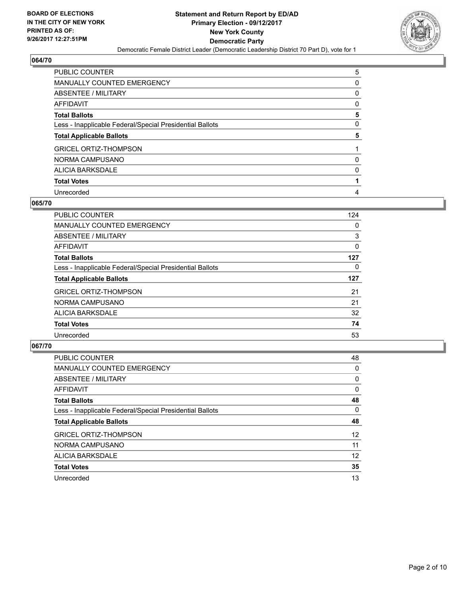

| PUBLIC COUNTER                                           | 5 |
|----------------------------------------------------------|---|
| <b>MANUALLY COUNTED EMERGENCY</b>                        | 0 |
| ABSENTEE / MILITARY                                      | 0 |
| AFFIDAVIT                                                | 0 |
| <b>Total Ballots</b>                                     | 5 |
| Less - Inapplicable Federal/Special Presidential Ballots | 0 |
| <b>Total Applicable Ballots</b>                          | 5 |
| <b>GRICEL ORTIZ-THOMPSON</b>                             |   |
| NORMA CAMPUSANO                                          | 0 |
| ALICIA BARKSDALE                                         | 0 |
|                                                          |   |
| <b>Total Votes</b>                                       |   |

#### **065/70**

| <b>PUBLIC COUNTER</b>                                    | 124 |
|----------------------------------------------------------|-----|
| MANUALLY COUNTED EMERGENCY                               | 0   |
| ABSENTEE / MILITARY                                      | 3   |
| AFFIDAVIT                                                | 0   |
| <b>Total Ballots</b>                                     | 127 |
| Less - Inapplicable Federal/Special Presidential Ballots | 0   |
| <b>Total Applicable Ballots</b>                          | 127 |
| <b>GRICEL ORTIZ-THOMPSON</b>                             | 21  |
| NORMA CAMPUSANO                                          | 21  |
| ALICIA BARKSDALE                                         | 32  |
| <b>Total Votes</b>                                       | 74  |
| Unrecorded                                               | 53  |

| <b>PUBLIC COUNTER</b>                                    | 48              |
|----------------------------------------------------------|-----------------|
| <b>MANUALLY COUNTED EMERGENCY</b>                        | 0               |
| ABSENTEE / MILITARY                                      | $\Omega$        |
| AFFIDAVIT                                                | 0               |
| <b>Total Ballots</b>                                     | 48              |
| Less - Inapplicable Federal/Special Presidential Ballots | 0               |
| <b>Total Applicable Ballots</b>                          | 48              |
| <b>GRICEL ORTIZ-THOMPSON</b>                             | 12 <sup>°</sup> |
| NORMA CAMPUSANO                                          | 11              |
| ALICIA BARKSDALE                                         | 12              |
| <b>Total Votes</b>                                       | 35              |
| Unrecorded                                               | 13              |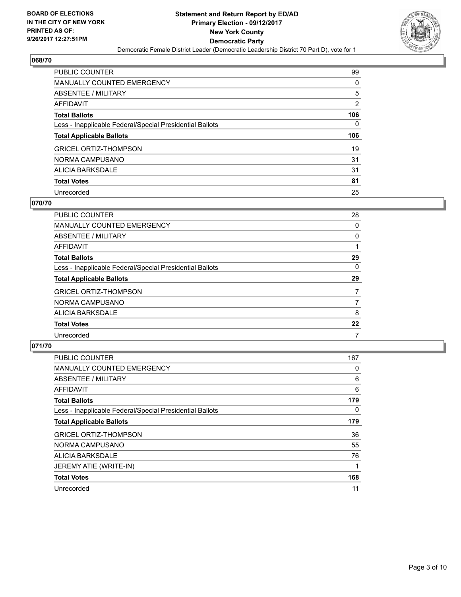

| <b>PUBLIC COUNTER</b>                                    | 99             |
|----------------------------------------------------------|----------------|
| MANUALLY COUNTED EMERGENCY                               | 0              |
| ABSENTEE / MILITARY                                      | 5              |
| AFFIDAVIT                                                | $\overline{2}$ |
| <b>Total Ballots</b>                                     | 106            |
| Less - Inapplicable Federal/Special Presidential Ballots | 0              |
|                                                          |                |
| <b>Total Applicable Ballots</b>                          | 106            |
| <b>GRICEL ORTIZ-THOMPSON</b>                             | 19             |
| NORMA CAMPUSANO                                          | 31             |
| ALICIA BARKSDALE                                         | 31             |
| <b>Total Votes</b>                                       | 81             |

#### **070/70**

| PUBLIC COUNTER                                           | 28 |
|----------------------------------------------------------|----|
| <b>MANUALLY COUNTED EMERGENCY</b>                        | 0  |
| ABSENTEE / MILITARY                                      | 0  |
| <b>AFFIDAVIT</b>                                         |    |
| <b>Total Ballots</b>                                     | 29 |
| Less - Inapplicable Federal/Special Presidential Ballots | 0  |
| <b>Total Applicable Ballots</b>                          | 29 |
| <b>GRICEL ORTIZ-THOMPSON</b>                             | 7  |
| NORMA CAMPUSANO                                          | 7  |
| ALICIA BARKSDALE                                         | 8  |
| <b>Total Votes</b>                                       | 22 |
| Unrecorded                                               |    |

| <b>PUBLIC COUNTER</b>                                    | 167 |
|----------------------------------------------------------|-----|
| MANUALLY COUNTED EMERGENCY                               | 0   |
| ABSENTEE / MILITARY                                      | 6   |
| AFFIDAVIT                                                | 6   |
| <b>Total Ballots</b>                                     | 179 |
| Less - Inapplicable Federal/Special Presidential Ballots | 0   |
| <b>Total Applicable Ballots</b>                          | 179 |
| <b>GRICEL ORTIZ-THOMPSON</b>                             | 36  |
| NORMA CAMPUSANO                                          | 55  |
| ALICIA BARKSDALE                                         | 76  |
| JEREMY ATIE (WRITE-IN)                                   |     |
| <b>Total Votes</b>                                       | 168 |
| Unrecorded                                               | 11  |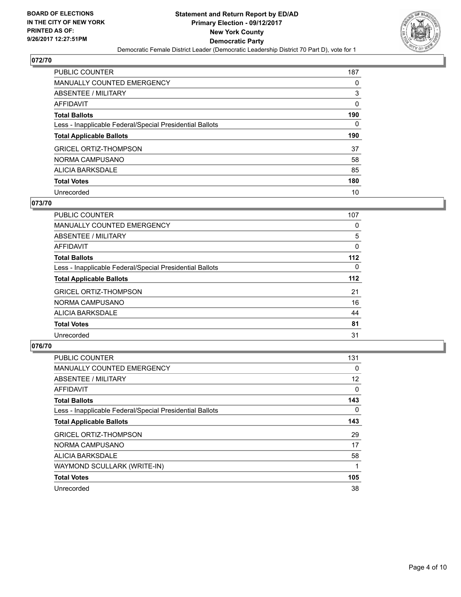

| <b>PUBLIC COUNTER</b>                                    | 187 |
|----------------------------------------------------------|-----|
| <b>MANUALLY COUNTED EMERGENCY</b>                        | 0   |
| ABSENTEE / MILITARY                                      | 3   |
| AFFIDAVIT                                                | 0   |
| <b>Total Ballots</b>                                     | 190 |
| Less - Inapplicable Federal/Special Presidential Ballots | 0   |
|                                                          |     |
| <b>Total Applicable Ballots</b>                          | 190 |
| <b>GRICEL ORTIZ-THOMPSON</b>                             | 37  |
| NORMA CAMPUSANO                                          | 58  |
| ALICIA BARKSDALE                                         | 85  |
| <b>Total Votes</b>                                       | 180 |

### **073/70**

| <b>PUBLIC COUNTER</b>                                    | 107   |
|----------------------------------------------------------|-------|
| <b>MANUALLY COUNTED EMERGENCY</b>                        | 0     |
| ABSENTEE / MILITARY                                      | 5     |
| AFFIDAVIT                                                | 0     |
| <b>Total Ballots</b>                                     | $112$ |
| Less - Inapplicable Federal/Special Presidential Ballots | 0     |
| <b>Total Applicable Ballots</b>                          | $112$ |
| <b>GRICEL ORTIZ-THOMPSON</b>                             | 21    |
| NORMA CAMPUSANO                                          | 16    |
| ALICIA BARKSDALE                                         | 44    |
| <b>Total Votes</b>                                       | 81    |
| Unrecorded                                               | 31    |

| <b>PUBLIC COUNTER</b>                                    | 131 |
|----------------------------------------------------------|-----|
| MANUALLY COUNTED EMERGENCY                               | 0   |
| ABSENTEE / MILITARY                                      | 12  |
| <b>AFFIDAVIT</b>                                         | 0   |
| <b>Total Ballots</b>                                     | 143 |
| Less - Inapplicable Federal/Special Presidential Ballots | 0   |
| <b>Total Applicable Ballots</b>                          | 143 |
| <b>GRICEL ORTIZ-THOMPSON</b>                             | 29  |
| NORMA CAMPUSANO                                          | 17  |
| <b>ALICIA BARKSDALE</b>                                  | 58  |
| WAYMOND SCULLARK (WRITE-IN)                              | 1   |
| <b>Total Votes</b>                                       | 105 |
| Unrecorded                                               | 38  |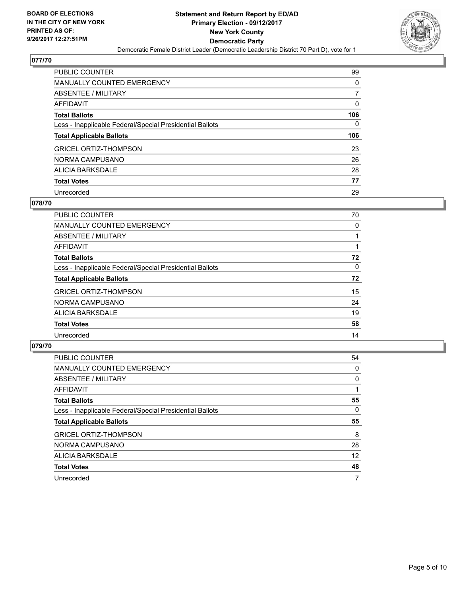

| <b>PUBLIC COUNTER</b>                                    | 99  |
|----------------------------------------------------------|-----|
| <b>MANUALLY COUNTED EMERGENCY</b>                        | 0   |
| ABSENTEE / MILITARY                                      | 7   |
| AFFIDAVIT                                                | 0   |
| <b>Total Ballots</b>                                     | 106 |
| Less - Inapplicable Federal/Special Presidential Ballots | 0   |
| <b>Total Applicable Ballots</b>                          | 106 |
| <b>GRICEL ORTIZ-THOMPSON</b>                             | 23  |
| NORMA CAMPUSANO                                          | 26  |
| ALICIA BARKSDALE                                         | 28  |
| <b>Total Votes</b>                                       | 77  |
| Unrecorded                                               |     |

## **078/70**

| PUBLIC COUNTER                                           | 70 |
|----------------------------------------------------------|----|
| MANUALLY COUNTED EMERGENCY                               | 0  |
| ABSENTEE / MILITARY                                      |    |
| <b>AFFIDAVIT</b>                                         |    |
| <b>Total Ballots</b>                                     | 72 |
| Less - Inapplicable Federal/Special Presidential Ballots | 0  |
| <b>Total Applicable Ballots</b>                          | 72 |
| <b>GRICEL ORTIZ-THOMPSON</b>                             | 15 |
| NORMA CAMPUSANO                                          | 24 |
| ALICIA BARKSDALE                                         | 19 |
| <b>Total Votes</b>                                       | 58 |
| Unrecorded                                               | 14 |

| <b>PUBLIC COUNTER</b>                                    | 54 |
|----------------------------------------------------------|----|
| <b>MANUALLY COUNTED EMERGENCY</b>                        | 0  |
| ABSENTEE / MILITARY                                      | 0  |
| AFFIDAVIT                                                |    |
| <b>Total Ballots</b>                                     | 55 |
| Less - Inapplicable Federal/Special Presidential Ballots | 0  |
| <b>Total Applicable Ballots</b>                          | 55 |
|                                                          |    |
| <b>GRICEL ORTIZ-THOMPSON</b>                             | 8  |
| NORMA CAMPUSANO                                          | 28 |
| ALICIA BARKSDALE                                         | 12 |
| <b>Total Votes</b>                                       | 48 |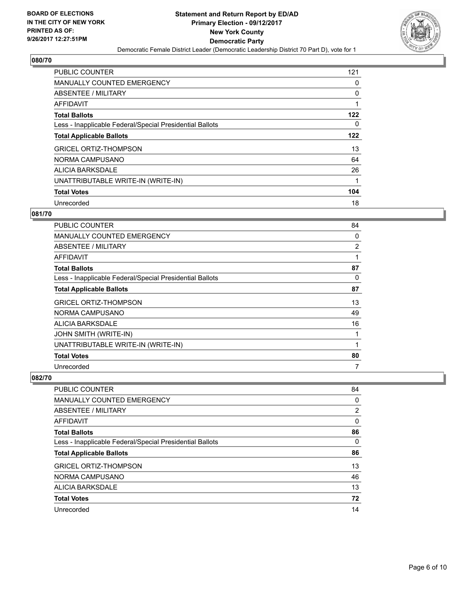

| <b>PUBLIC COUNTER</b>                                    | 121 |
|----------------------------------------------------------|-----|
| <b>MANUALLY COUNTED EMERGENCY</b>                        | 0   |
| ABSENTEE / MILITARY                                      | 0   |
| <b>AFFIDAVIT</b>                                         | 1   |
| <b>Total Ballots</b>                                     | 122 |
| Less - Inapplicable Federal/Special Presidential Ballots | 0   |
| <b>Total Applicable Ballots</b>                          | 122 |
| <b>GRICEL ORTIZ-THOMPSON</b>                             | 13  |
| NORMA CAMPUSANO                                          | 64  |
| <b>ALICIA BARKSDALE</b>                                  | 26  |
| UNATTRIBUTABLE WRITE-IN (WRITE-IN)                       | 1   |
| <b>Total Votes</b>                                       | 104 |
| Unrecorded                                               | 18  |

## **081/70**

| PUBLIC COUNTER                                           | 84 |
|----------------------------------------------------------|----|
| MANUALLY COUNTED EMERGENCY                               | 0  |
| ABSENTEE / MILITARY                                      | 2  |
| AFFIDAVIT                                                | 1  |
| <b>Total Ballots</b>                                     | 87 |
| Less - Inapplicable Federal/Special Presidential Ballots | 0  |
| <b>Total Applicable Ballots</b>                          | 87 |
| <b>GRICEL ORTIZ-THOMPSON</b>                             | 13 |
| NORMA CAMPUSANO                                          | 49 |
| <b>ALICIA BARKSDALE</b>                                  | 16 |
| JOHN SMITH (WRITE-IN)                                    | 1  |
| UNATTRIBUTABLE WRITE-IN (WRITE-IN)                       | 1  |
| <b>Total Votes</b>                                       | 80 |
| Unrecorded                                               | 7  |

| PUBLIC COUNTER                                           | 84             |
|----------------------------------------------------------|----------------|
| <b>MANUALLY COUNTED EMERGENCY</b>                        | 0              |
| ABSENTEE / MILITARY                                      | $\overline{2}$ |
| AFFIDAVIT                                                | 0              |
| <b>Total Ballots</b>                                     | 86             |
| Less - Inapplicable Federal/Special Presidential Ballots | 0              |
| <b>Total Applicable Ballots</b>                          | 86             |
| <b>GRICEL ORTIZ-THOMPSON</b>                             | 13             |
| NORMA CAMPUSANO                                          | 46             |
| ALICIA BARKSDALE                                         | 13             |
| <b>Total Votes</b>                                       | 72             |
| Unrecorded                                               | 14             |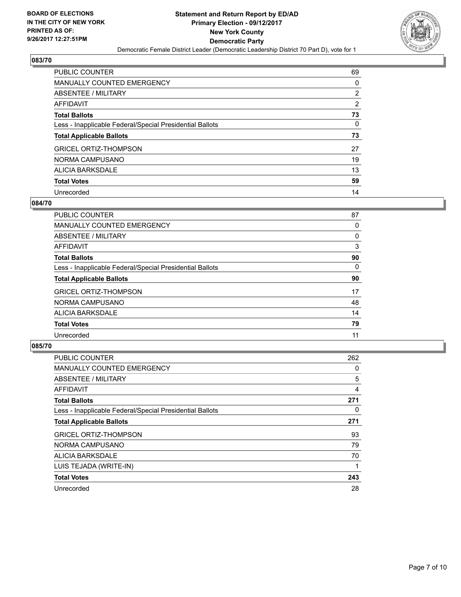

| <b>PUBLIC COUNTER</b>                                    | 69             |
|----------------------------------------------------------|----------------|
| <b>MANUALLY COUNTED EMERGENCY</b>                        | 0              |
| ABSENTEE / MILITARY                                      | $\overline{2}$ |
| AFFIDAVIT                                                | $\overline{2}$ |
| <b>Total Ballots</b>                                     | 73             |
| Less - Inapplicable Federal/Special Presidential Ballots | 0              |
| <b>Total Applicable Ballots</b>                          | 73             |
| <b>GRICEL ORTIZ-THOMPSON</b>                             | 27             |
| NORMA CAMPUSANO                                          | 19             |
| ALICIA BARKSDALE                                         | 13             |
| <b>Total Votes</b>                                       | 59             |
| Unrecorded                                               | 14             |

### **084/70**

| <b>PUBLIC COUNTER</b>                                    | 87 |
|----------------------------------------------------------|----|
| <b>MANUALLY COUNTED EMERGENCY</b>                        | 0  |
| ABSENTEE / MILITARY                                      | 0  |
| <b>AFFIDAVIT</b>                                         | 3  |
| <b>Total Ballots</b>                                     | 90 |
| Less - Inapplicable Federal/Special Presidential Ballots | 0  |
| <b>Total Applicable Ballots</b>                          | 90 |
| <b>GRICEL ORTIZ-THOMPSON</b>                             | 17 |
| NORMA CAMPUSANO                                          | 48 |
| ALICIA BARKSDALE                                         | 14 |
| <b>Total Votes</b>                                       | 79 |
| Unrecorded                                               | 11 |

| <b>PUBLIC COUNTER</b>                                    | 262 |
|----------------------------------------------------------|-----|
| MANUALLY COUNTED EMERGENCY                               | 0   |
| ABSENTEE / MILITARY                                      | 5   |
| <b>AFFIDAVIT</b>                                         | 4   |
| <b>Total Ballots</b>                                     | 271 |
| Less - Inapplicable Federal/Special Presidential Ballots | 0   |
| <b>Total Applicable Ballots</b>                          | 271 |
| <b>GRICEL ORTIZ-THOMPSON</b>                             | 93  |
| NORMA CAMPUSANO                                          | 79  |
| <b>ALICIA BARKSDALE</b>                                  | 70  |
| LUIS TEJADA (WRITE-IN)                                   | 1   |
| <b>Total Votes</b>                                       | 243 |
| Unrecorded                                               | 28  |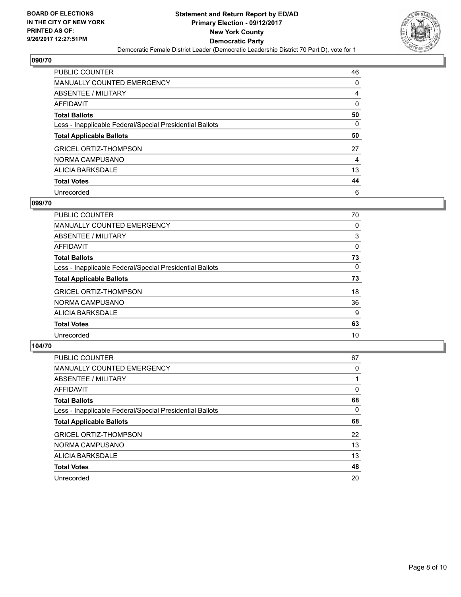

| <b>PUBLIC COUNTER</b>                                    | 46 |
|----------------------------------------------------------|----|
| <b>MANUALLY COUNTED EMERGENCY</b>                        | 0  |
| ABSENTEE / MILITARY                                      | 4  |
| AFFIDAVIT                                                | 0  |
| <b>Total Ballots</b>                                     | 50 |
| Less - Inapplicable Federal/Special Presidential Ballots | 0  |
| <b>Total Applicable Ballots</b>                          | 50 |
| <b>GRICEL ORTIZ-THOMPSON</b>                             | 27 |
| NORMA CAMPUSANO                                          | 4  |
| ALICIA BARKSDALE                                         | 13 |
| <b>Total Votes</b>                                       | 44 |
| Unrecorded                                               | 6  |

#### **099/70**

| PUBLIC COUNTER                                           | 70 |
|----------------------------------------------------------|----|
| <b>MANUALLY COUNTED EMERGENCY</b>                        | 0  |
| ABSENTEE / MILITARY                                      | 3  |
| <b>AFFIDAVIT</b>                                         | 0  |
| <b>Total Ballots</b>                                     | 73 |
| Less - Inapplicable Federal/Special Presidential Ballots | 0  |
| <b>Total Applicable Ballots</b>                          | 73 |
| <b>GRICEL ORTIZ-THOMPSON</b>                             | 18 |
| NORMA CAMPUSANO                                          | 36 |
| <b>ALICIA BARKSDALE</b>                                  | 9  |
| <b>Total Votes</b>                                       | 63 |
| Unrecorded                                               | 10 |

| <b>PUBLIC COUNTER</b>                                    | 67 |
|----------------------------------------------------------|----|
| <b>MANUALLY COUNTED EMERGENCY</b>                        | 0  |
| ABSENTEE / MILITARY                                      |    |
| <b>AFFIDAVIT</b>                                         | 0  |
| <b>Total Ballots</b>                                     | 68 |
| Less - Inapplicable Federal/Special Presidential Ballots | 0  |
| <b>Total Applicable Ballots</b>                          | 68 |
| <b>GRICEL ORTIZ-THOMPSON</b>                             | 22 |
| NORMA CAMPUSANO                                          | 13 |
| ALICIA BARKSDALE                                         | 13 |
| <b>Total Votes</b>                                       | 48 |
| Unrecorded                                               | 20 |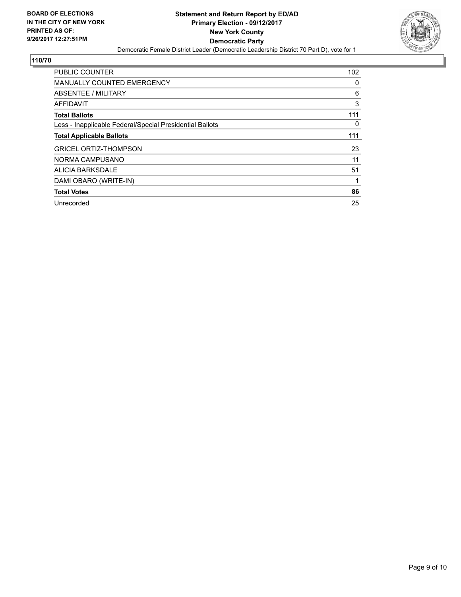

| <b>PUBLIC COUNTER</b>                                    | 102 |
|----------------------------------------------------------|-----|
| <b>MANUALLY COUNTED EMERGENCY</b>                        | 0   |
| ABSENTEE / MILITARY                                      | 6   |
| AFFIDAVIT                                                | 3   |
| <b>Total Ballots</b>                                     | 111 |
| Less - Inapplicable Federal/Special Presidential Ballots | 0   |
| <b>Total Applicable Ballots</b>                          | 111 |
| <b>GRICEL ORTIZ-THOMPSON</b>                             | 23  |
| NORMA CAMPUSANO                                          | 11  |
| ALICIA BARKSDALE                                         | 51  |
| DAMI OBARO (WRITE-IN)                                    | 1   |
| <b>Total Votes</b>                                       | 86  |
| Unrecorded                                               | 25  |